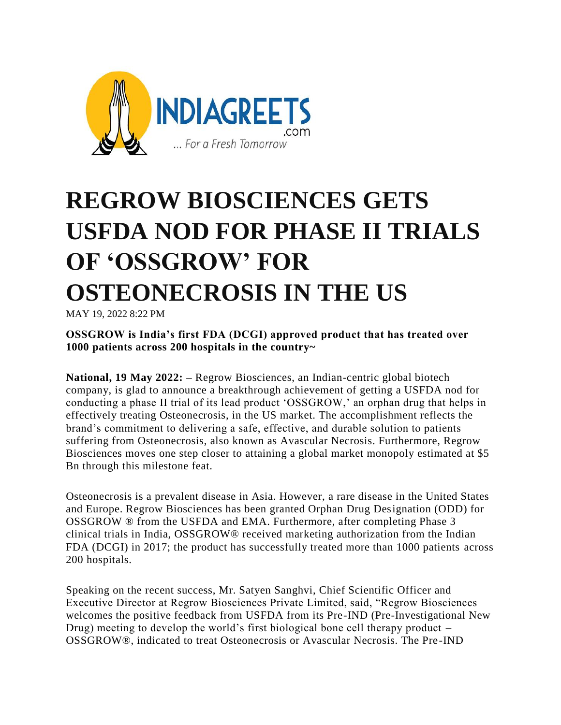

## **REGROW BIOSCIENCES GETS USFDA NOD FOR PHASE II TRIALS OF 'OSSGROW' FOR OSTEONECROSIS IN THE US**

MAY 19, 2022 8:22 PM

**OSSGROW is India's first FDA (DCGI) approved product that has treated over 1000 patients across 200 hospitals in the country~**

**National, 19 May 2022: –** Regrow Biosciences, an Indian-centric global biotech company, is glad to announce a breakthrough achievement of getting a USFDA nod for conducting a phase II trial of its lead product "OSSGROW," an orphan drug that helps in effectively treating Osteonecrosis, in the US market. The accomplishment reflects the brand"s commitment to delivering a safe, effective, and durable solution to patients suffering from Osteonecrosis, also known as Avascular Necrosis. Furthermore, Regrow Biosciences moves one step closer to attaining a global market monopoly estimated at \$5 Bn through this milestone feat.

Osteonecrosis is a prevalent disease in Asia. However, a rare disease in the United States and Europe. Regrow Biosciences has been granted Orphan Drug Designation (ODD) for OSSGROW ® from the USFDA and EMA. Furthermore, after completing Phase 3 clinical trials in India, OSSGROW® received marketing authorization from the Indian FDA (DCGI) in 2017; the product has successfully treated more than 1000 patients across 200 hospitals.

Speaking on the recent success, Mr. Satyen Sanghvi, Chief Scientific Officer and Executive Director at Regrow Biosciences Private Limited, said, "Regrow Biosciences welcomes the positive feedback from USFDA from its Pre-IND (Pre-Investigational New Drug) meeting to develop the world"s first biological bone cell therapy product – OSSGROW®, indicated to treat Osteonecrosis or Avascular Necrosis. The Pre -IND